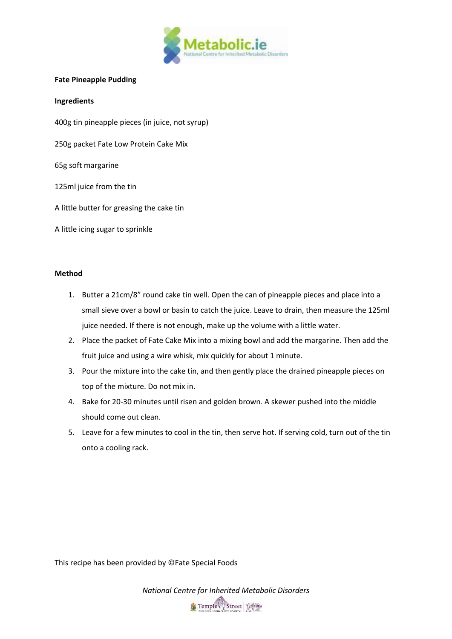

## **Fate Pineapple Pudding**

## **Ingredients**

400g tin pineapple pieces (in juice, not syrup)

250g packet Fate Low Protein Cake Mix

65g soft margarine

125ml juice from the tin

A little butter for greasing the cake tin

A little icing sugar to sprinkle

## **Method**

- 1. Butter a 21cm/8" round cake tin well. Open the can of pineapple pieces and place into a small sieve over a bowl or basin to catch the juice. Leave to drain, then measure the 125ml juice needed. If there is not enough, make up the volume with a little water.
- 2. Place the packet of Fate Cake Mix into a mixing bowl and add the margarine. Then add the fruit juice and using a wire whisk, mix quickly for about 1 minute.
- 3. Pour the mixture into the cake tin, and then gently place the drained pineapple pieces on top of the mixture. Do not mix in.
- 4. Bake for 20-30 minutes until risen and golden brown. A skewer pushed into the middle should come out clean.
- 5. Leave for a few minutes to cool in the tin, then serve hot. If serving cold, turn out of the tin onto a cooling rack.

This recipe has been provided by ©Fate Special Foods